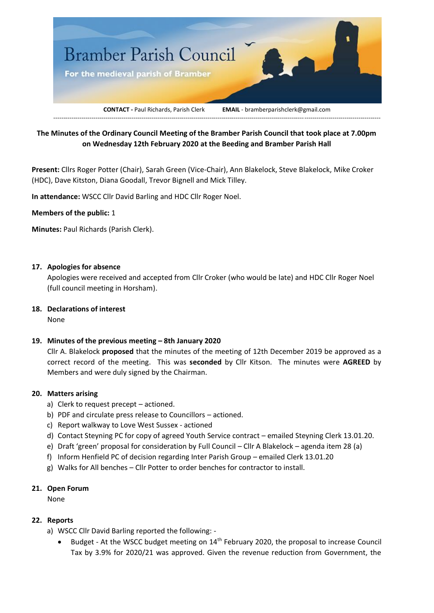

**The Minutes of the Ordinary Council Meeting of the Bramber Parish Council that took place at 7.00pm on Wednesday 12th February 2020 at the Beeding and Bramber Parish Hall**

**Present:** Cllrs Roger Potter (Chair), Sarah Green (Vice-Chair), Ann Blakelock, Steve Blakelock, Mike Croker (HDC), Dave Kitston, Diana Goodall, Trevor Bignell and Mick Tilley.

**In attendance:** WSCC Cllr David Barling and HDC Cllr Roger Noel.

### **Members of the public:** 1

**Minutes:** Paul Richards (Parish Clerk).

#### **17. Apologies for absence**

Apologies were received and accepted from Cllr Croker (who would be late) and HDC Cllr Roger Noel (full council meeting in Horsham).

#### **18. Declarations of interest**

None

### **19. Minutes of the previous meeting – 8th January 2020**

Cllr A. Blakelock **proposed** that the minutes of the meeting of 12th December 2019 be approved as a correct record of the meeting. This was **seconded** by Cllr Kitson. The minutes were **AGREED** by Members and were duly signed by the Chairman.

### **20. Matters arising**

- a) Clerk to request precept actioned.
- b) PDF and circulate press release to Councillors actioned.
- c) Report walkway to Love West Sussex actioned
- d) Contact Steyning PC for copy of agreed Youth Service contract emailed Steyning Clerk 13.01.20.
- e) Draft 'green' proposal for consideration by Full Council Cllr A Blakelock agenda item 28 (a)
- f) Inform Henfield PC of decision regarding Inter Parish Group emailed Clerk 13.01.20
- g) Walks for All benches Cllr Potter to order benches for contractor to install.

#### **21. Open Forum**

None

### **22. Reports**

- a) WSCC Cllr David Barling reported the following:
	- Budget At the WSCC budget meeting on 14<sup>th</sup> February 2020, the proposal to increase Council Tax by 3.9% for 2020/21 was approved. Given the revenue reduction from Government, the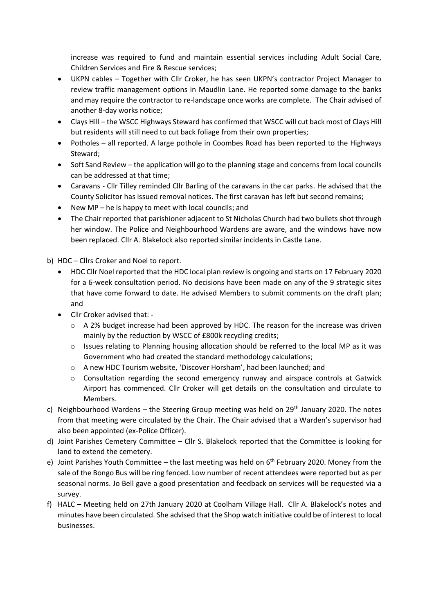increase was required to fund and maintain essential services including Adult Social Care, Children Services and Fire & Rescue services;

- UKPN cables Together with Cllr Croker, he has seen UKPN's contractor Project Manager to review traffic management options in Maudlin Lane. He reported some damage to the banks and may require the contractor to re-landscape once works are complete. The Chair advised of another 8-day works notice;
- Clays Hill the WSCC Highways Steward has confirmed that WSCC will cut back most of Clays Hill but residents will still need to cut back foliage from their own properties;
- Potholes all reported. A large pothole in Coombes Road has been reported to the Highways Steward;
- Soft Sand Review the application will go to the planning stage and concerns from local councils can be addressed at that time;
- Caravans Cllr Tilley reminded Cllr Barling of the caravans in the car parks. He advised that the County Solicitor has issued removal notices. The first caravan has left but second remains;
- New MP he is happy to meet with local councils; and
- The Chair reported that parishioner adjacent to St Nicholas Church had two bullets shot through her window. The Police and Neighbourhood Wardens are aware, and the windows have now been replaced. Cllr A. Blakelock also reported similar incidents in Castle Lane.
- b) HDC Cllrs Croker and Noel to report.
	- HDC Cllr Noel reported that the HDC local plan review is ongoing and starts on 17 February 2020 for a 6-week consultation period. No decisions have been made on any of the 9 strategic sites that have come forward to date. He advised Members to submit comments on the draft plan; and
	- Cllr Croker advised that:
		- $\circ$  A 2% budget increase had been approved by HDC. The reason for the increase was driven mainly by the reduction by WSCC of £800k recycling credits;
		- o Issues relating to Planning housing allocation should be referred to the local MP as it was Government who had created the standard methodology calculations;
		- o A new HDC Tourism website, 'Discover Horsham', had been launched; and
		- $\circ$  Consultation regarding the second emergency runway and airspace controls at Gatwick Airport has commenced. Cllr Croker will get details on the consultation and circulate to Members.
- c) Neighbourhood Wardens the Steering Group meeting was held on  $29<sup>th</sup>$  January 2020. The notes from that meeting were circulated by the Chair. The Chair advised that a Warden's supervisor had also been appointed (ex-Police Officer).
- d) Joint Parishes Cemetery Committee Cllr S. Blakelock reported that the Committee is looking for land to extend the cemetery.
- e) Joint Parishes Youth Committee the last meeting was held on  $6<sup>th</sup>$  February 2020. Money from the sale of the Bongo Bus will be ring fenced. Low number of recent attendees were reported but as per seasonal norms. Jo Bell gave a good presentation and feedback on services will be requested via a survey.
- f) HALC Meeting held on 27th January 2020 at Coolham Village Hall. Cllr A. Blakelock's notes and minutes have been circulated. She advised that the Shop watch initiative could be of interest to local businesses.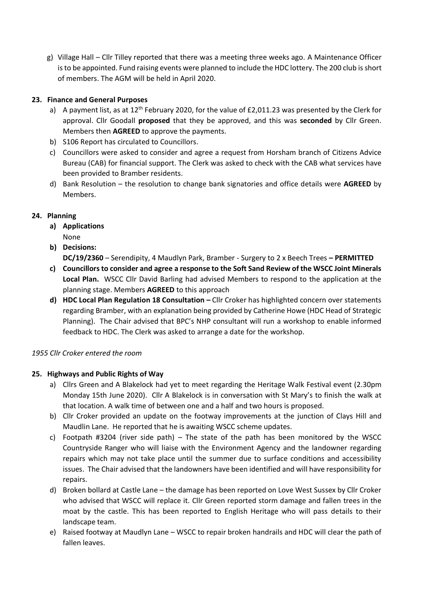g) Village Hall – Cllr Tilley reported that there was a meeting three weeks ago. A Maintenance Officer is to be appointed. Fund raising events were planned to include the HDC lottery. The 200 club is short of members. The AGM will be held in April 2020.

# **23. Finance and General Purposes**

- a) A payment list, as at  $12^{th}$  February 2020, for the value of £2,011.23 was presented by the Clerk for approval. Cllr Goodall **proposed** that they be approved, and this was **seconded** by Cllr Green. Members then **AGREED** to approve the payments.
- b) S106 Report has circulated to Councillors.
- c) Councillors were asked to consider and agree a request from Horsham branch of Citizens Advice Bureau (CAB) for financial support. The Clerk was asked to check with the CAB what services have been provided to Bramber residents.
- d) Bank Resolution the resolution to change bank signatories and office details were **AGREED** by Members.

# **24. Planning**

- **a) Applications**
	- None
- **b) Decisions:**

**DC/19/2360** – Serendipity, 4 Maudlyn Park, Bramber - Surgery to 2 x Beech Trees **– PERMITTED**

- **c) Councillors to consider and agree a response to the Soft Sand Review of the WSCC Joint Minerals Local Plan.** WSCC Cllr David Barling had advised Members to respond to the application at the planning stage. Members **AGREED** to this approach
- **d) HDC Local Plan Regulation 18 Consultation –** Cllr Croker has highlighted concern over statements regarding Bramber, with an explanation being provided by Catherine Howe (HDC Head of Strategic Planning). The Chair advised that BPC's NHP consultant will run a workshop to enable informed feedback to HDC. The Clerk was asked to arrange a date for the workshop.

# *1955 Cllr Croker entered the room*

# **25. Highways and Public Rights of Way**

- a) Cllrs Green and A Blakelock had yet to meet regarding the Heritage Walk Festival event (2.30pm Monday 15th June 2020). Cllr A Blakelock is in conversation with St Mary's to finish the walk at that location. A walk time of between one and a half and two hours is proposed.
- b) Cllr Croker provided an update on the footway improvements at the junction of Clays Hill and Maudlin Lane. He reported that he is awaiting WSCC scheme updates.
- c) Footpath #3204 (river side path) The state of the path has been monitored by the WSCC Countryside Ranger who will liaise with the Environment Agency and the landowner regarding repairs which may not take place until the summer due to surface conditions and accessibility issues. The Chair advised that the landowners have been identified and will have responsibility for repairs.
- d) Broken bollard at Castle Lane the damage has been reported on Love West Sussex by Cllr Croker who advised that WSCC will replace it. Cllr Green reported storm damage and fallen trees in the moat by the castle. This has been reported to English Heritage who will pass details to their landscape team.
- e) Raised footway at Maudlyn Lane WSCC to repair broken handrails and HDC will clear the path of fallen leaves.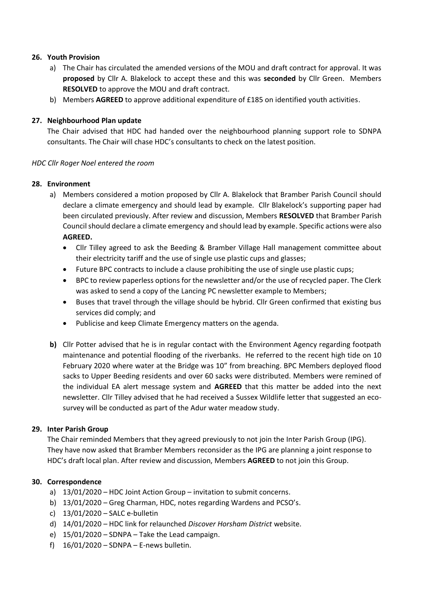# **26. Youth Provision**

- a) The Chair has circulated the amended versions of the MOU and draft contract for approval. It was **proposed** by Cllr A. Blakelock to accept these and this was **seconded** by Cllr Green. Members **RESOLVED** to approve the MOU and draft contract.
- b) Members **AGREED** to approve additional expenditure of £185 on identified youth activities.

# **27. Neighbourhood Plan update**

The Chair advised that HDC had handed over the neighbourhood planning support role to SDNPA consultants. The Chair will chase HDC's consultants to check on the latest position.

### *HDC Cllr Roger Noel entered the room*

### **28. Environment**

- a) Members considered a motion proposed by Cllr A. Blakelock that Bramber Parish Council should declare a climate emergency and should lead by example. Cllr Blakelock's supporting paper had been circulated previously. After review and discussion, Members **RESOLVED** that Bramber Parish Council should declare a climate emergency and should lead by example. Specific actions were also **AGREED.**
	- Cllr Tilley agreed to ask the Beeding & Bramber Village Hall management committee about their electricity tariff and the use of single use plastic cups and glasses;
	- Future BPC contracts to include a clause prohibiting the use of single use plastic cups;
	- BPC to review paperless options for the newsletter and/or the use of recycled paper. The Clerk was asked to send a copy of the Lancing PC newsletter example to Members;
	- Buses that travel through the village should be hybrid. Cllr Green confirmed that existing bus services did comply; and
	- Publicise and keep Climate Emergency matters on the agenda.
- **b)** Cllr Potter advised that he is in regular contact with the Environment Agency regarding footpath maintenance and potential flooding of the riverbanks. He referred to the recent high tide on 10 February 2020 where water at the Bridge was 10" from breaching. BPC Members deployed flood sacks to Upper Beeding residents and over 60 sacks were distributed. Members were remined of the individual EA alert message system and **AGREED** that this matter be added into the next newsletter. Cllr Tilley advised that he had received a Sussex Wildlife letter that suggested an ecosurvey will be conducted as part of the Adur water meadow study.

### **29. Inter Parish Group**

The Chair reminded Members that they agreed previously to not join the Inter Parish Group (IPG). They have now asked that Bramber Members reconsider as the IPG are planning a joint response to HDC's draft local plan. After review and discussion, Members **AGREED** to not join this Group.

### **30. Correspondence**

- a) 13/01/2020 HDC Joint Action Group invitation to submit concerns.
- b) 13/01/2020 Greg Charman, HDC, notes regarding Wardens and PCSO's.
- c) 13/01/2020 SALC e-bulletin
- d) 14/01/2020 HDC link for relaunched *Discover Horsham District* website.
- e) 15/01/2020 SDNPA Take the Lead campaign.
- f) 16/01/2020 SDNPA E-news bulletin.